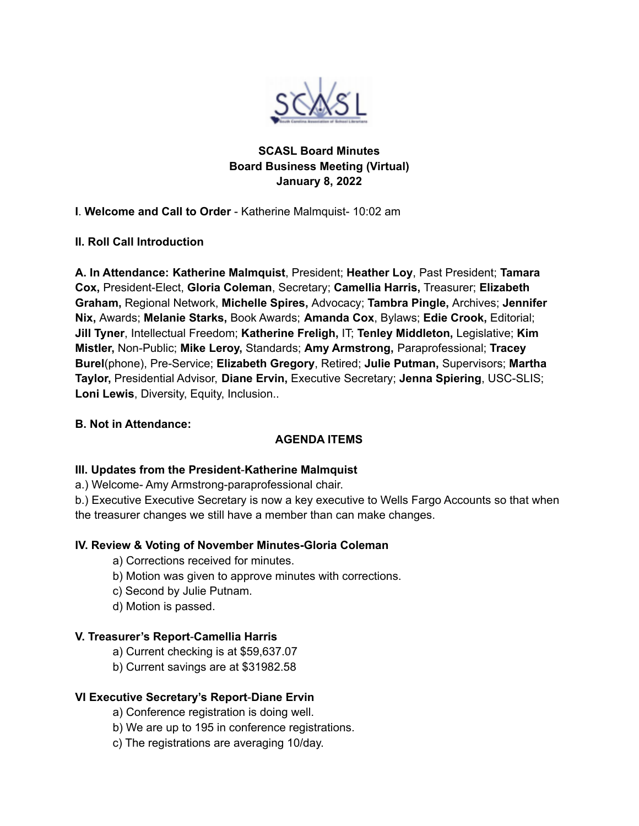

## **SCASL Board Minutes Board Business Meeting (Virtual) January 8, 2022**

**I**. **Welcome and Call to Order** - Katherine Malmquist- 10:02 am

## **II. Roll Call Introduction**

**A. In Attendance: Katherine Malmquist**, President; **Heather Loy**, Past President; **Tamara Cox,** President-Elect, **Gloria Coleman**, Secretary; **Camellia Harris,** Treasurer; **Elizabeth Graham,** Regional Network, **Michelle Spires,** Advocacy; **Tambra Pingle,** Archives; **Jennifer Nix,** Awards; **Melanie Starks,** Book Awards; **Amanda Cox**, Bylaws; **Edie Crook,** Editorial; **Jill Tyner**, Intellectual Freedom; **Katherine Freligh,** IT; **Tenley Middleton,** Legislative; **Kim Mistler,** Non-Public; **Mike Leroy,** Standards; **Amy Armstrong,** Paraprofessional; **Tracey Burel**(phone), Pre-Service; **Elizabeth Gregory**, Retired; **Julie Putman,** Supervisors; **Martha Taylor,** Presidential Advisor, **Diane Ervin,** Executive Secretary; **Jenna Spiering**, USC-SLIS; **Loni Lewis**, Diversity, Equity, Inclusion..

#### **B. Not in Attendance:**

## **AGENDA ITEMS**

#### **III. Updates from the President**-**Katherine Malmquist**

a.) Welcome- Amy Armstrong-paraprofessional chair.

b.) Executive Executive Secretary is now a key executive to Wells Fargo Accounts so that when the treasurer changes we still have a member than can make changes.

#### **IV. Review & Voting of November Minutes-Gloria Coleman**

a) Corrections received for minutes.

- b) Motion was given to approve minutes with corrections.
- c) Second by Julie Putnam.
- d) Motion is passed.

#### **V. Treasurer's Report**-**Camellia Harris**

- a) Current checking is at \$59,637.07
- b) Current savings are at \$31982.58

#### **VI Executive Secretary's Report**-**Diane Ervin**

- a) Conference registration is doing well.
- b) We are up to 195 in conference registrations.
- c) The registrations are averaging 10/day.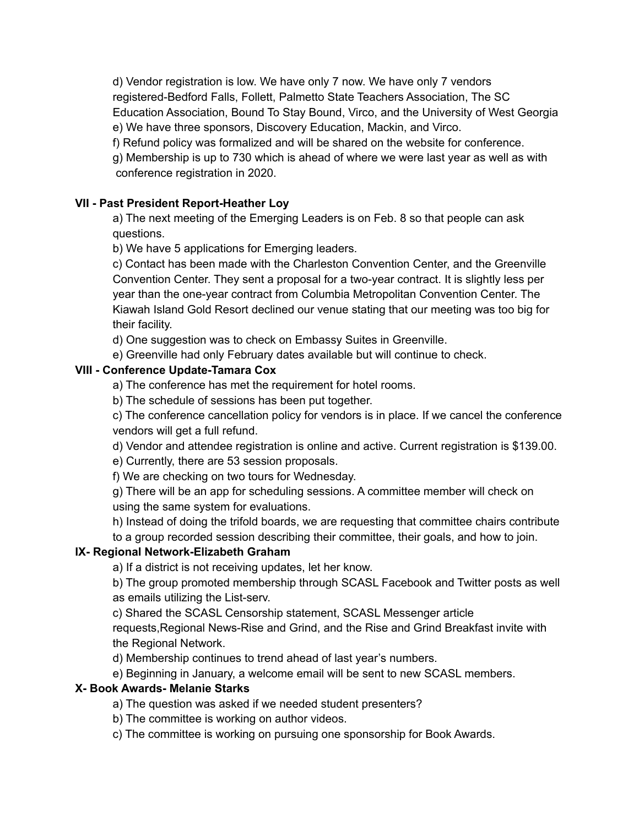d) Vendor registration is low. We have only 7 now. We have only 7 vendors registered-Bedford Falls, Follett, Palmetto State Teachers Association, The SC Education Association, Bound To Stay Bound, Virco, and the University of West Georgia e) We have three sponsors, Discovery Education, Mackin, and Virco.

f) Refund policy was formalized and will be shared on the website for conference.

g) Membership is up to 730 which is ahead of where we were last year as well as with conference registration in 2020.

## **VII - Past President Report-Heather Loy**

a) The next meeting of the Emerging Leaders is on Feb. 8 so that people can ask questions.

b) We have 5 applications for Emerging leaders.

c) Contact has been made with the Charleston Convention Center, and the Greenville Convention Center. They sent a proposal for a two-year contract. It is slightly less per year than the one-year contract from Columbia Metropolitan Convention Center. The Kiawah Island Gold Resort declined our venue stating that our meeting was too big for their facility.

d) One suggestion was to check on Embassy Suites in Greenville.

e) Greenville had only February dates available but will continue to check.

## **VIII - Conference Update-Tamara Cox**

a) The conference has met the requirement for hotel rooms.

b) The schedule of sessions has been put together.

c) The conference cancellation policy for vendors is in place. If we cancel the conference vendors will get a full refund.

d) Vendor and attendee registration is online and active. Current registration is \$139.00.

e) Currently, there are 53 session proposals.

f) We are checking on two tours for Wednesday.

g) There will be an app for scheduling sessions. A committee member will check on using the same system for evaluations.

h) Instead of doing the trifold boards, we are requesting that committee chairs contribute

to a group recorded session describing their committee, their goals, and how to join.

## **IX- Regional Network-Elizabeth Graham**

a) If a district is not receiving updates, let her know.

b) The group promoted membership through SCASL Facebook and Twitter posts as well as emails utilizing the List-serv.

c) Shared the SCASL Censorship statement, SCASL Messenger article

requests,Regional News-Rise and Grind, and the Rise and Grind Breakfast invite with the Regional Network.

d) Membership continues to trend ahead of last year's numbers.

e) Beginning in January, a welcome email will be sent to new SCASL members.

# **X- Book Awards- Melanie Starks**

a) The question was asked if we needed student presenters?

b) The committee is working on author videos.

c) The committee is working on pursuing one sponsorship for Book Awards.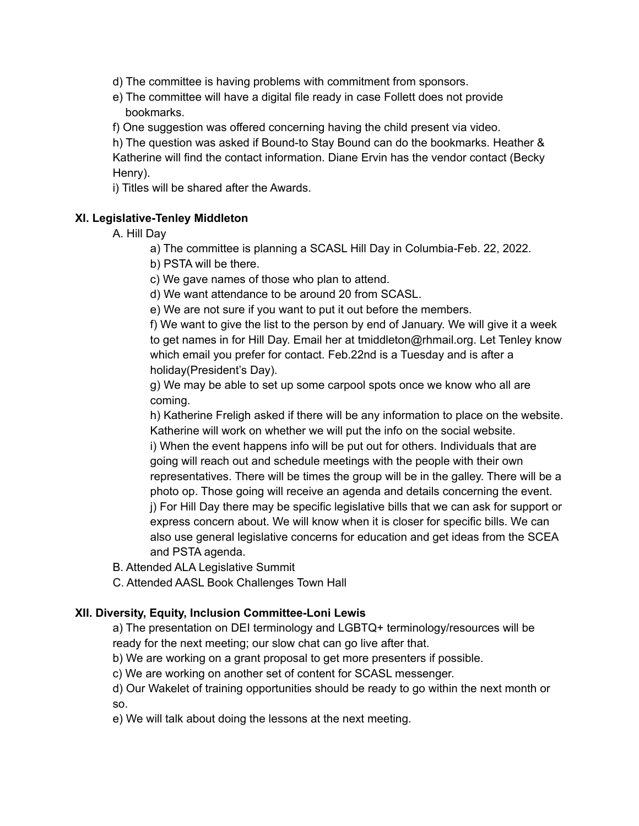d) The committee is having problems with commitment from sponsors.

- e) The committee will have a digital file ready in case Follett does not provide bookmarks.
- f) One suggestion was offered concerning having the child present via video.

h) The question was asked if Bound-to Stay Bound can do the bookmarks. Heather & Katherine will find the contact information. Diane Ervin has the vendor contact (Becky Henry).

i) Titles will be shared after the Awards.

## **XI. Legislative-Tenley Middleton**

A. Hill Day

a) The committee is planning a SCASL Hill Day in Columbia-Feb. 22, 2022.

b) PSTA will be there.

c) We gave names of those who plan to attend.

d) We want attendance to be around 20 from SCASL.

e) We are not sure if you want to put it out before the members.

f) We want to give the list to the person by end of January. We will give it a week to get names in for Hill Day. Email her at tmiddleton@rhmail.org. Let Tenley know which email you prefer for contact. Feb.22nd is a Tuesday and is after a holiday(President's Day).

g) We may be able to set up some carpool spots once we know who all are coming.

h) Katherine Freligh asked if there will be any information to place on the website. Katherine will work on whether we will put the info on the social website. i) When the event happens info will be put out for others. Individuals that are going will reach out and schedule meetings with the people with their own representatives. There will be times the group will be in the galley. There will be a photo op. Those going will receive an agenda and details concerning the event. j) For Hill Day there may be specific legislative bills that we can ask for support or express concern about. We will know when it is closer for specific bills. We can also use general legislative concerns for education and get ideas from the SCEA

B. Attended ALA Legislative Summit

and PSTA agenda.

C. Attended AASL Book Challenges Town Hall

## **XII. Diversity, Equity, Inclusion Committee-Loni Lewis**

a) The presentation on DEI terminology and LGBTQ+ terminology/resources will be ready for the next meeting; our slow chat can go live after that.

b) We are working on a grant proposal to get more presenters if possible.

c) We are working on another set of content for SCASL messenger.

d) Our Wakelet of training opportunities should be ready to go within the next month or so.

e) We will talk about doing the lessons at the next meeting.